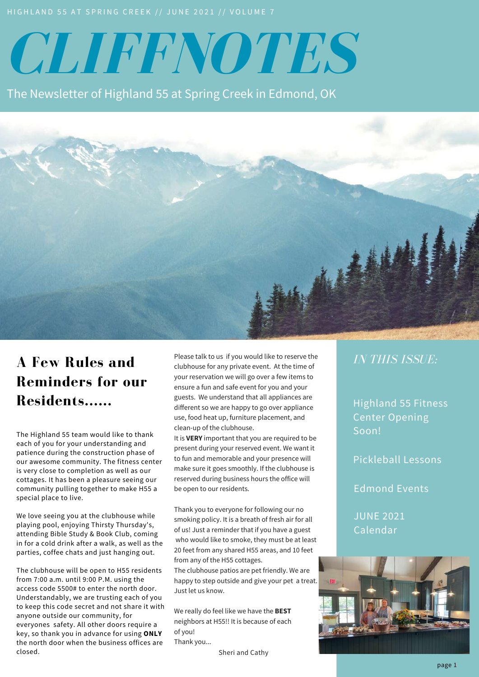# *CLIFFNOTES*

The Newsletter of Highland 55 at Spring Creek in Edmond, OK



# **A Few Rules and Reminders for our Residents......**

The Highland 55 team would like to thank each of you for your understanding and patience during the construction phase of our awesome community. The fitness center is very close to completion as well as our cottages. It has been a pleasure seeing our community pulling together to make H55 a special place to live.

We love seeing you at the clubhouse while playing pool, enjoying Thirsty Thursday's, attending Bible Study & Book Club, coming in for a cold drink after a walk, as well as the parties, coffee chats and just hanging out.

The clubhouse will be open to H55 residents from 7:00 a.m. until 9:00 P.M. using the access code 5500# to enter the north door. Understandably, we are trusting each of you to keep this code secret and not share it with anyone outside our community, for everyones safety. All other doors require a key, so thank you in advance for using **ONLY** the north door when the business offices are closed.

Please talk to us if you would like to reserve the clubhouse for any private event. At the time of your reservation we will go over a few items to ensure a fun and safe event for you and your guests. We understand that all appliances are different so we are happy to go over appliance use, food heat up, furniture placement, and clean-up of the clubhouse.

It is **VERY** important that you are required to be present during your reserved event. We want it to fun and memorable and your presence will make sure it goes smoothly. If the clubhouse is reserved during business hours the office will be open to our residents.

Thank you to everyone for following our no smoking policy. It is a breath of fresh air for all of us! Just a reminder that if you have a guest who would like to smoke, they must be at least 20 feet from any shared H55 areas, and 10 feet from any of the H55 cottages.

The clubhouse patios are pet friendly. We are happy to step outside and give your pet a treat. Just let us know.

We really do feel like we have the **BEST** neighbors at H55!! It is because of each of you! Thank you...

Sheri and Cathy

### *IN THIS ISSUE:*

Highland 55 Fitness Center Opening Soon!

Pickleball Lessons

Edmond Events

JUNE 2021 Calendar

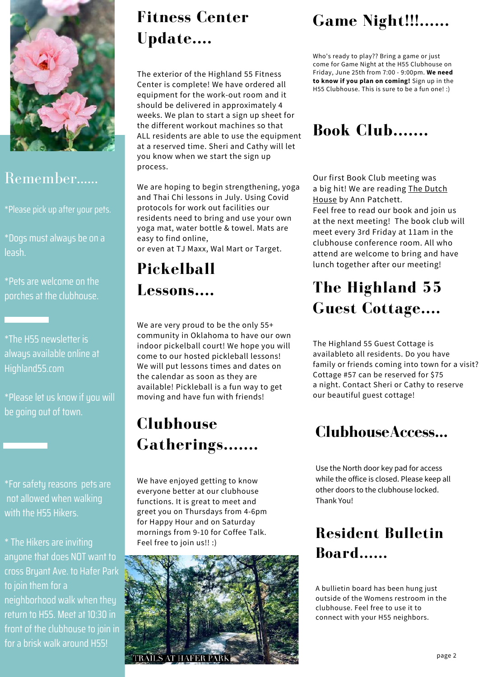

### Remember......

\*Please pick up after your pets.

\*Dogs must always be on a leash.

\*Pets are welcome on the porches at the clubhouse.

\*The H55 newsletter is always available online at Highland55.com

\*Please let us know if you will be going out of town.

\*For safety reasons pets are not allowed when walking with the H55 Hikers.

\* The Hikers are inviting anyone that does NOT want to cross Bryant Ave. to Hafer Park to join them for a neighborhood walk when they return to H55. Meet at 10:30 in front of the clubhouse to join in for a brisk walk around H55!

# **Fitness Center Update....**

The exterior of the Highland 55 Fitness Center is complete! We have ordered all equipment for the work-out room and it should be delivered in approximately 4 weeks. We plan to start a sign up sheet for the different workout machines so that ALL residents are able to use the equipment at a reserved time. Sheri and Cathy will let you know when we start the sign up process.

We are hoping to begin strengthening, yoga and Thai Chi lessons in July. Using Covid protocols for work out facilities our residents need to bring and use your own yoga mat, water bottle & towel. Mats are easy to find online,

or even at TJ Maxx, Wal Mart or Target.

# **Lessons....**

We are very proud to be the only 55+ community in Oklahoma to have our own indoor pickelball court! We hope you will come to our hosted pickleball lessons! We will put lessons times and dates on the calendar as soon as they are available! Pickleball is a fun way to get moving and have fun with friends!

# **Clubhouse Gatherings.......**

We have enjoyed getting to know everyone better at our clubhouse functions. It is great to meet and greet you on Thursdays from 4-6pm for Happy Hour and on Saturday mornings from 9-10 for Coffee Talk. Feel free to join us!! :)



# **Game Night!!!......**

Who's ready to play?? Bring a game or just come for Game Night at the H55 Clubhouse on Friday, June 25th from 7:00 - 9:00pm. **We need to know if you plan on coming!** Sign up in the H55 Clubhouse. This is sure to be a fun one! :)

# **Book Club.......**

Our first Book Club meeting was a big hit! We are reading The Dutch House by Ann Patchett.

Feel free to read our book and join us at the next meeting! The book club will meet every 3rd Friday at 11am in the clubhouse conference room. All who attend are welcome to bring and have lunch together after our meeting! **Pickelball**

# **The Highland 55 Guest Cottage....**

The Highland 55 Guest Cottage is availableto all residents. Do you have family or friends coming into town for a visit? Cottage #57 can be reserved for \$75 a night. Contact Sheri or Cathy to reserve our beautiful guest cottage!

# **ClubhouseAccess...**

Use the North door key pad for access while the office is closed. Please keep all other doors to the clubhouse locked. Thank You!

# **Resident Bulletin Board......**

A bullietin board has been hung just outside of the Womens restroom in the clubhouse. Feel free to use it to connect with your H55 neighbors.